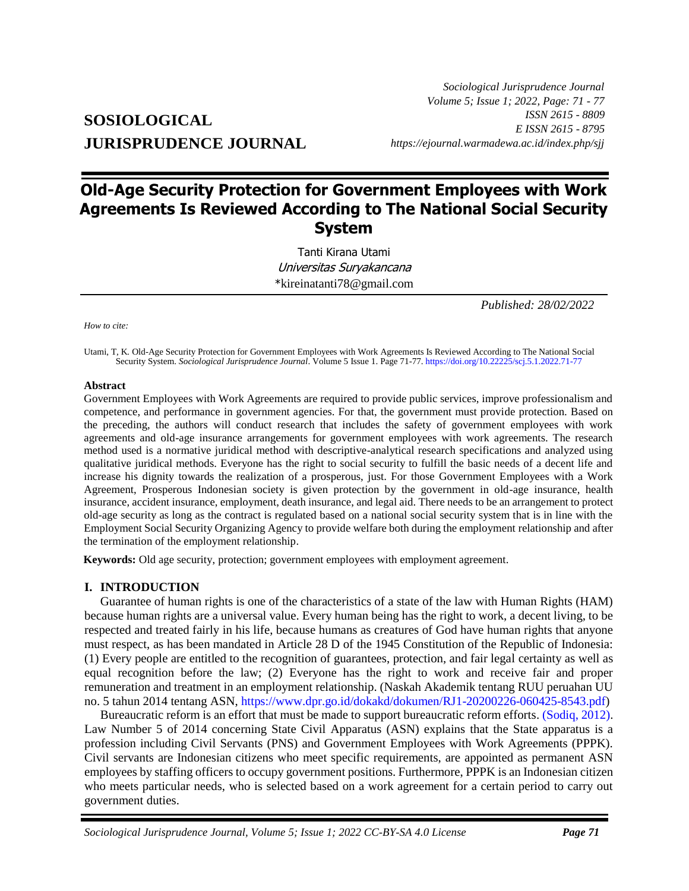# **SOSIOLOGICAL JURISPRUDENCE JOURNAL**

*Sociological Jurisprudence Journal Volume 5; Issue 1; 2022, Page: 71 - 77 ISSN 2615 - 8809 E ISSN 2615 - 8795 https://ejournal.warmadewa.ac.id/index.php/sjj*

# **Old-Age Security Protection for Government Employees with Work Agreements Is Reviewed According to The National Social Security System**

Tanti Kirana Utami Universitas Suryakancana \*[kireinatanti78@gmail.com](mailto:kireinatanti78@gmail.com)

*Published: 28/02/2022*

*How to cite:*

Utami, T, K*.* Old-Age Security Protection for Government Employees with Work Agreements Is Reviewed According to The National Social Security System. *Sociological Jurisprudence Journal*. Volume 5 Issue 1. Page 71-77[. https://doi.org/10.22225/scj.5.1.2022.71-77](https://doi.org/10.22225/scj.5.1.2022.71-77)

#### **Abstract**

Government Employees with Work Agreements are required to provide public services, improve professionalism and competence, and performance in government agencies. For that, the government must provide protection. Based on the preceding, the authors will conduct research that includes the safety of government employees with work agreements and old-age insurance arrangements for government employees with work agreements. The research method used is a normative juridical method with descriptive-analytical research specifications and analyzed using qualitative juridical methods. Everyone has the right to social security to fulfill the basic needs of a decent life and increase his dignity towards the realization of a prosperous, just. For those Government Employees with a Work Agreement, Prosperous Indonesian society is given protection by the government in old-age insurance, health insurance, accident insurance, employment, death insurance, and legal aid. There needs to be an arrangement to protect old-age security as long as the contract is regulated based on a national social security system that is in line with the Employment Social Security Organizing Agency to provide welfare both during the employment relationship and after the termination of the employment relationship.

**Keywords:** Old age security, protection; government employees with employment agreement.

#### **I. INTRODUCTION**

Guarantee of human rights is one of the characteristics of a state of the law with Human Rights (HAM) because human rights are a universal value. Every human being has the right to work, a decent living, to be respected and treated fairly in his life, because humans as creatures of God have human rights that anyone must respect, as has been mandated in Article 28 D of the 1945 Constitution of the Republic of Indonesia: (1) Every people are entitled to the recognition of guarantees, protection, and fair legal certainty as well as equal recognition before the law; (2) Everyone has the right to work and receive fair and proper remuneration and treatment in an employment relationship. (Naskah Akademik tentang RUU peruahan UU no. 5 tahun 2014 tentang ASN, [https://www.dpr.go.id/dokakd/dokumen/RJ1-20200226-060425-8543.pdf\)](https://www.dpr.go.id/dokakd/dokumen/RJ1-20200226-060425-8543.pdf)

Bureaucratic reform is an effort that must be made to support bureaucratic reform efforts. [\(Sodiq, 2012\).](#page-6-0) Law Number 5 of 2014 concerning State Civil Apparatus (ASN) explains that the State apparatus is a profession including Civil Servants (PNS) and Government Employees with Work Agreements (PPPK). Civil servants are Indonesian citizens who meet specific requirements, are appointed as permanent ASN employees by staffing officers to occupy government positions. Furthermore, PPPK is an Indonesian citizen who meets particular needs, who is selected based on a work agreement for a certain period to carry out government duties.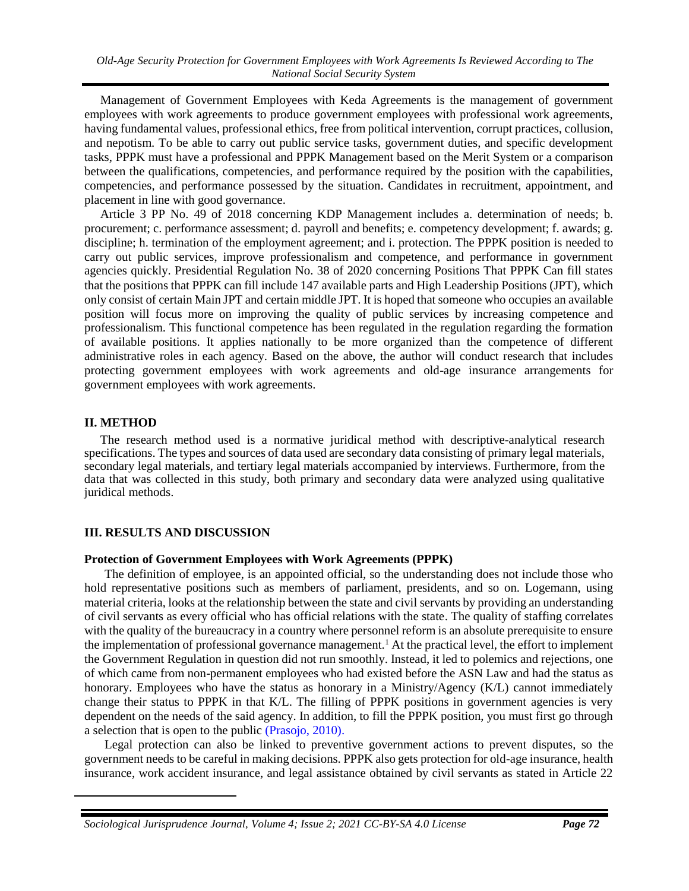*Old-Age Security Protection for Government Employees with Work Agreements Is Reviewed According to The National Social Security System*

Management of Government Employees with Keda Agreements is the management of government employees with work agreements to produce government employees with professional work agreements, having fundamental values, professional ethics, free from political intervention, corrupt practices, collusion, and nepotism. To be able to carry out public service tasks, government duties, and specific development tasks, PPPK must have a professional and PPPK Management based on the Merit System or a comparison between the qualifications, competencies, and performance required by the position with the capabilities, competencies, and performance possessed by the situation. Candidates in recruitment, appointment, and placement in line with good governance.

Article 3 PP No. 49 of 2018 concerning KDP Management includes a. determination of needs; b. procurement; c. performance assessment; d. payroll and benefits; e. competency development; f. awards; g. discipline; h. termination of the employment agreement; and i. protection. The PPPK position is needed to carry out public services, improve professionalism and competence, and performance in government agencies quickly. Presidential Regulation No. 38 of 2020 concerning Positions That PPPK Can fill states that the positions that PPPK can fill include 147 available parts and High Leadership Positions (JPT), which only consist of certain Main JPT and certain middle JPT. It is hoped that someone who occupies an available position will focus more on improving the quality of public services by increasing competence and professionalism. This functional competence has been regulated in the regulation regarding the formation of available positions. It applies nationally to be more organized than the competence of different administrative roles in each agency. Based on the above, the author will conduct research that includes protecting government employees with work agreements and old-age insurance arrangements for government employees with work agreements.

#### **II. METHOD**

l

The research method used is a normative juridical method with descriptive-analytical research specifications. The types and sources of data used are secondary data consisting of primary legal materials, secondary legal materials, and tertiary legal materials accompanied by interviews. Furthermore, from the data that was collected in this study, both primary and secondary data were analyzed using qualitative juridical methods.

## **III. RESULTS AND DISCUSSION**

#### **Protection of Government Employees with Work Agreements (PPPK)**

The definition of employee, is an appointed official, so the understanding does not include those who hold representative positions such as members of parliament, presidents, and so on. Logemann, using material criteria, looks at the relationship between the state and civil servants by providing an understanding of civil servants as every official who has official relations with the state. The quality of staffing correlates with the quality of the bureaucracy in a country where personnel reform is an absolute prerequisite to ensure the implementation of professional governance management.<sup>1</sup> At the practical level, the effort to implement the Government Regulation in question did not run smoothly. Instead, it led to polemics and rejections, one of which came from non-permanent employees who had existed before the ASN Law and had the status as honorary. Employees who have the status as honorary in a Ministry/Agency (K/L) cannot immediately change their status to PPPK in that K/L. The filling of PPPK positions in government agencies is very dependent on the needs of the said agency. In addition, to fill the PPPK position, you must first go through a selection that is open to the public [\(Prasojo, 2010\).](#page-6-0)

Legal protection can also be linked to preventive government actions to prevent disputes, so the government needs to be careful in making decisions. PPPK also gets protection for old-age insurance, health insurance, work accident insurance, and legal assistance obtained by civil servants as stated in Article 22

*Sociological Jurisprudence Journal, Volume 4; Issue 2; 2021 CC-BY-SA 4.0 License Page 72*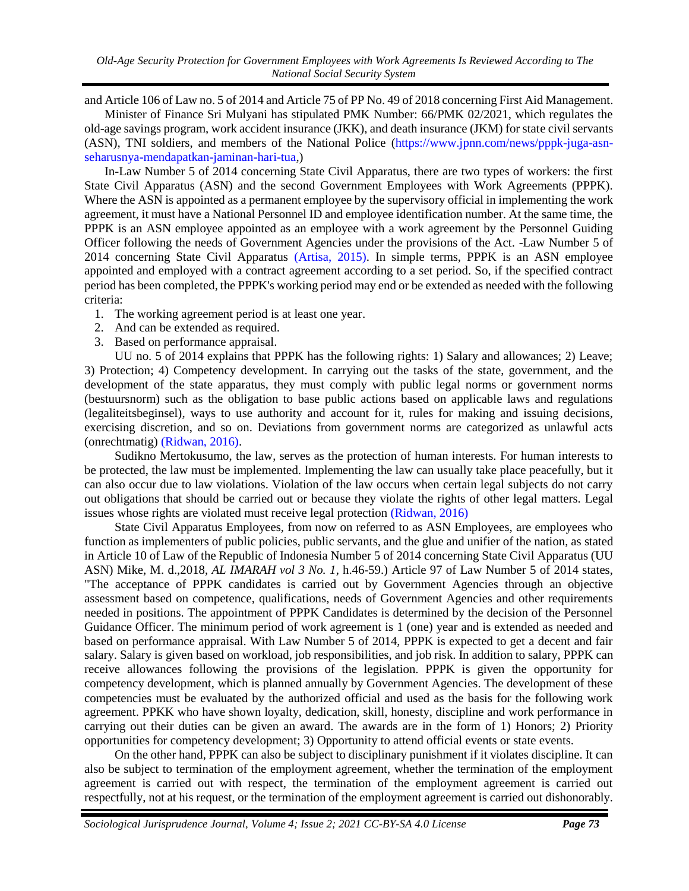and Article 106 of Law no. 5 of 2014 and Article 75 of PP No. 49 of 2018 concerning First Aid Management.

Minister of Finance Sri Mulyani has stipulated PMK Number: 66/PMK 02/2021, which regulates the old-age savings program, work accident insurance (JKK), and death insurance (JKM) for state civil servants (ASN), TNI soldiers, and members of the National Police [\(https://www.jpnn.com/news/pppk-juga-asn](https://www.jpnn.com/news/pppk-juga-asn-seharusnya-mendapatkan-jaminan-hari-tua)[seharusnya-mendapatkan-jaminan-hari-tua,](https://www.jpnn.com/news/pppk-juga-asn-seharusnya-mendapatkan-jaminan-hari-tua))

In-Law Number 5 of 2014 concerning State Civil Apparatus, there are two types of workers: the first State Civil Apparatus (ASN) and the second Government Employees with Work Agreements (PPPK). Where the ASN is appointed as a permanent employee by the supervisory official in implementing the work agreement, it must have a National Personnel ID and employee identification number. At the same time, the PPPK is an ASN employee appointed as an employee with a work agreement by the Personnel Guiding Officer following the needs of Government Agencies under the provisions of the Act. -Law Number 5 of 2014 concerning State Civil Apparatus [\(Artisa, 2015\).](#page-6-0) In simple terms, PPPK is an ASN employee appointed and employed with a contract agreement according to a set period. So, if the specified contract period has been completed, the PPPK's working period may end or be extended as needed with the following criteria:

- 1. The working agreement period is at least one year.
- 2. And can be extended as required.
- 3. Based on performance appraisal.

UU no. 5 of 2014 explains that PPPK has the following rights: 1) Salary and allowances; 2) Leave; 3) Protection; 4) Competency development. In carrying out the tasks of the state, government, and the development of the state apparatus, they must comply with public legal norms or government norms (bestuursnorm) such as the obligation to base public actions based on applicable laws and regulations (legaliteitsbeginsel), ways to use authority and account for it, rules for making and issuing decisions, exercising discretion, and so on. Deviations from government norms are categorized as unlawful acts (onrechtmatig) [\(Ridwan, 2016\).](#page-6-0)

Sudikno Mertokusumo, the law, serves as the protection of human interests. For human interests to be protected, the law must be implemented. Implementing the law can usually take place peacefully, but it can also occur due to law violations. Violation of the law occurs when certain legal subjects do not carry out obligations that should be carried out or because they violate the rights of other legal matters. Legal issues whose rights are violated must receive legal protection [\(Ridwan, 2016\)](#page-6-0)

State Civil Apparatus Employees, from now on referred to as ASN Employees, are employees who function as implementers of public policies, public servants, and the glue and unifier of the nation, as stated in Article 10 of Law of the Republic of Indonesia Number 5 of 2014 concerning State Civil Apparatus (UU ASN) Mike, M. d.,2018, *AL IMARAH vol 3 No. 1*, h.46-59.) Article 97 of Law Number 5 of 2014 states, "The acceptance of PPPK candidates is carried out by Government Agencies through an objective assessment based on competence, qualifications, needs of Government Agencies and other requirements needed in positions. The appointment of PPPK Candidates is determined by the decision of the Personnel Guidance Officer. The minimum period of work agreement is 1 (one) year and is extended as needed and based on performance appraisal. With Law Number 5 of 2014, PPPK is expected to get a decent and fair salary. Salary is given based on workload, job responsibilities, and job risk. In addition to salary, PPPK can receive allowances following the provisions of the legislation. PPPK is given the opportunity for competency development, which is planned annually by Government Agencies. The development of these competencies must be evaluated by the authorized official and used as the basis for the following work agreement. PPKK who have shown loyalty, dedication, skill, honesty, discipline and work performance in carrying out their duties can be given an award. The awards are in the form of 1) Honors; 2) Priority opportunities for competency development; 3) Opportunity to attend official events or state events.

On the other hand, PPPK can also be subject to disciplinary punishment if it violates discipline. It can also be subject to termination of the employment agreement, whether the termination of the employment agreement is carried out with respect, the termination of the employment agreement is carried out respectfully, not at his request, or the termination of the employment agreement is carried out dishonorably.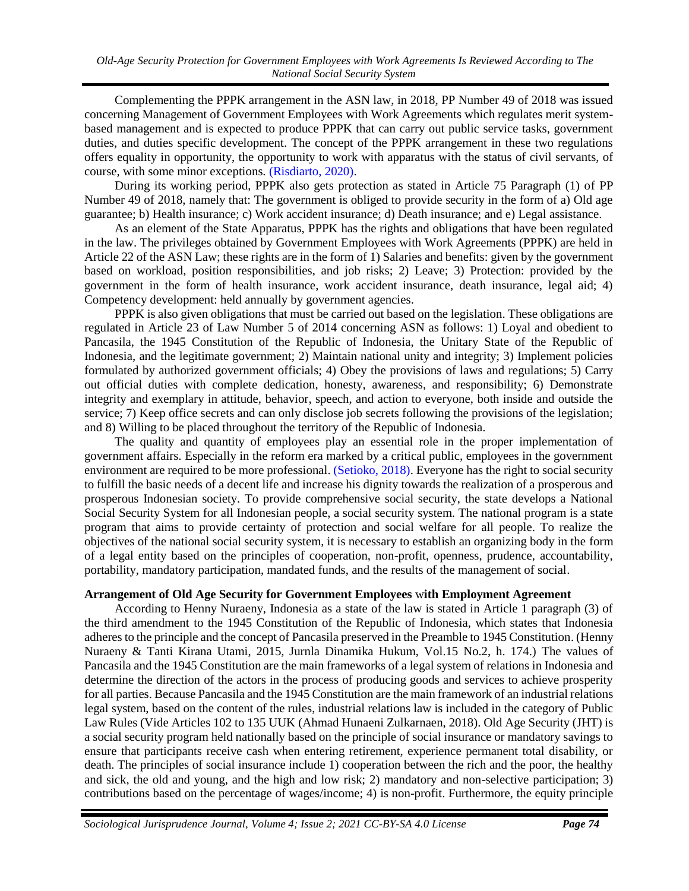Complementing the PPPK arrangement in the ASN law, in 2018, PP Number 49 of 2018 was issued concerning Management of Government Employees with Work Agreements which regulates merit systembased management and is expected to produce PPPK that can carry out public service tasks, government duties, and duties specific development. The concept of the PPPK arrangement in these two regulations offers equality in opportunity, the opportunity to work with apparatus with the status of civil servants, of course, with some minor exceptions. [\(Risdiarto, 2020\).](#page-6-0)

During its working period, PPPK also gets protection as stated in Article 75 Paragraph (1) of PP Number 49 of 2018, namely that: The government is obliged to provide security in the form of a) Old age guarantee; b) Health insurance; c) Work accident insurance; d) Death insurance; and e) Legal assistance.

As an element of the State Apparatus, PPPK has the rights and obligations that have been regulated in the law. The privileges obtained by Government Employees with Work Agreements (PPPK) are held in Article 22 of the ASN Law; these rights are in the form of 1) Salaries and benefits: given by the government based on workload, position responsibilities, and job risks; 2) Leave; 3) Protection: provided by the government in the form of health insurance, work accident insurance, death insurance, legal aid; 4) Competency development: held annually by government agencies.

PPPK is also given obligations that must be carried out based on the legislation. These obligations are regulated in Article 23 of Law Number 5 of 2014 concerning ASN as follows: 1) Loyal and obedient to Pancasila, the 1945 Constitution of the Republic of Indonesia, the Unitary State of the Republic of Indonesia, and the legitimate government; 2) Maintain national unity and integrity; 3) Implement policies formulated by authorized government officials; 4) Obey the provisions of laws and regulations; 5) Carry out official duties with complete dedication, honesty, awareness, and responsibility; 6) Demonstrate integrity and exemplary in attitude, behavior, speech, and action to everyone, both inside and outside the service; 7) Keep office secrets and can only disclose job secrets following the provisions of the legislation; and 8) Willing to be placed throughout the territory of the Republic of Indonesia.

The quality and quantity of employees play an essential role in the proper implementation of government affairs. Especially in the reform era marked by a critical public, employees in the government environment are required to be more professional[. \(Setioko, 2018\).](#page-6-0) Everyone has the right to social security to fulfill the basic needs of a decent life and increase his dignity towards the realization of a prosperous and prosperous Indonesian society. To provide comprehensive social security, the state develops a National Social Security System for all Indonesian people, a social security system. The national program is a state program that aims to provide certainty of protection and social welfare for all people. To realize the objectives of the national social security system, it is necessary to establish an organizing body in the form of a legal entity based on the principles of cooperation, non-profit, openness, prudence, accountability, portability, mandatory participation, mandated funds, and the results of the management of social.

## **Arrangement of Old Age Security for Government Employees** w**ith Employment Agreement**

According to Henny Nuraeny, Indonesia as a state of the law is stated in Article 1 paragraph (3) of the third amendment to the 1945 Constitution of the Republic of Indonesia, which states that Indonesia adheres to the principle and the concept of Pancasila preserved in the Preamble to 1945 Constitution. (Henny Nuraeny & Tanti Kirana Utami, 2015, Jurnla Dinamika Hukum, Vol.15 No.2, h. 174.) The values of Pancasila and the 1945 Constitution are the main frameworks of a legal system of relations in Indonesia and determine the direction of the actors in the process of producing goods and services to achieve prosperity for all parties. Because Pancasila and the 1945 Constitution are the main framework of an industrial relations legal system, based on the content of the rules, industrial relations law is included in the category of Public Law Rules (Vide Articles 102 to 135 UUK (Ahmad Hunaeni Zulkarnaen, 2018). Old Age Security (JHT) is a social security program held nationally based on the principle of social insurance or mandatory savings to ensure that participants receive cash when entering retirement, experience permanent total disability, or death. The principles of social insurance include 1) cooperation between the rich and the poor, the healthy and sick, the old and young, and the high and low risk; 2) mandatory and non-selective participation; 3) contributions based on the percentage of wages/income; 4) is non-profit. Furthermore, the equity principle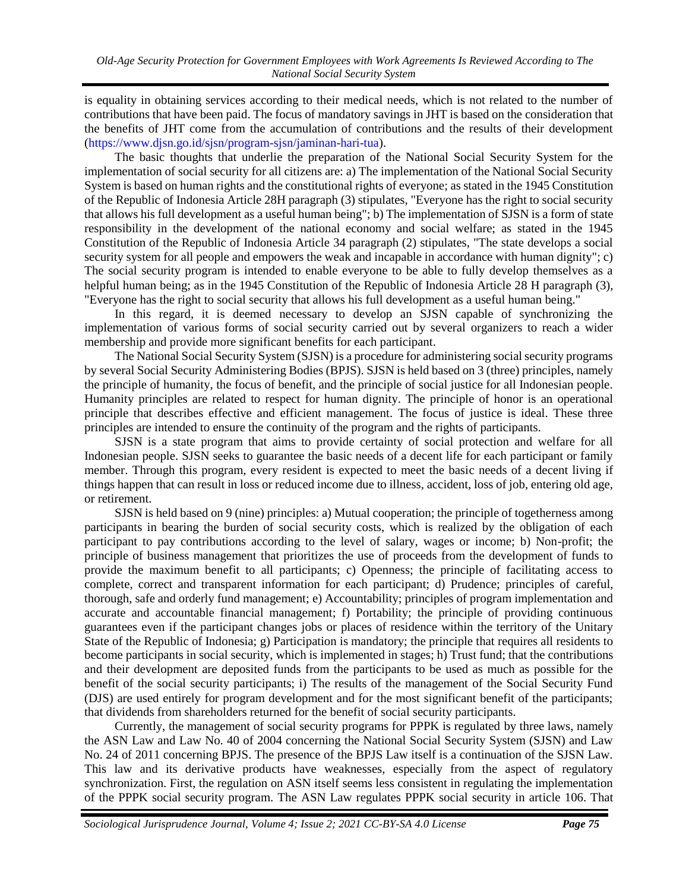is equality in obtaining services according to their medical needs, which is not related to the number of contributions that have been paid. The focus of mandatory savings in JHT is based on the consideration that the benefits of JHT come from the accumulation of contributions and the results of their development [\(https://www.djsn.go.id/sjsn/program-sjsn/jaminan-hari-tua\)](https://www.djsn.go.id/sjsn/program-sjsn/jaminan-hari-tua).

The basic thoughts that underlie the preparation of the National Social Security System for the implementation of social security for all citizens are: a) The implementation of the National Social Security System is based on human rights and the constitutional rights of everyone; as stated in the 1945 Constitution of the Republic of Indonesia Article 28H paragraph (3) stipulates, "Everyone has the right to social security that allows his full development as a useful human being"; b) The implementation of SJSN is a form of state responsibility in the development of the national economy and social welfare; as stated in the 1945 Constitution of the Republic of Indonesia Article 34 paragraph (2) stipulates, "The state develops a social security system for all people and empowers the weak and incapable in accordance with human dignity"; c) The social security program is intended to enable everyone to be able to fully develop themselves as a helpful human being; as in the 1945 Constitution of the Republic of Indonesia Article 28 H paragraph (3), "Everyone has the right to social security that allows his full development as a useful human being."

In this regard, it is deemed necessary to develop an SJSN capable of synchronizing the implementation of various forms of social security carried out by several organizers to reach a wider membership and provide more significant benefits for each participant.

The National Social Security System (SJSN) is a procedure for administering social security programs by several Social Security Administering Bodies (BPJS). SJSN is held based on 3 (three) principles, namely the principle of humanity, the focus of benefit, and the principle of social justice for all Indonesian people. Humanity principles are related to respect for human dignity. The principle of honor is an operational principle that describes effective and efficient management. The focus of justice is ideal. These three principles are intended to ensure the continuity of the program and the rights of participants.

SJSN is a state program that aims to provide certainty of social protection and welfare for all Indonesian people. SJSN seeks to guarantee the basic needs of a decent life for each participant or family member. Through this program, every resident is expected to meet the basic needs of a decent living if things happen that can result in loss or reduced income due to illness, accident, loss of job, entering old age, or retirement.

SJSN is held based on 9 (nine) principles: a) Mutual cooperation; the principle of togetherness among participants in bearing the burden of social security costs, which is realized by the obligation of each participant to pay contributions according to the level of salary, wages or income; b) Non-profit; the principle of business management that prioritizes the use of proceeds from the development of funds to provide the maximum benefit to all participants; c) Openness; the principle of facilitating access to complete, correct and transparent information for each participant; d) Prudence; principles of careful, thorough, safe and orderly fund management; e) Accountability; principles of program implementation and accurate and accountable financial management; f) Portability; the principle of providing continuous guarantees even if the participant changes jobs or places of residence within the territory of the Unitary State of the Republic of Indonesia; g) Participation is mandatory; the principle that requires all residents to become participants in social security, which is implemented in stages; h) Trust fund; that the contributions and their development are deposited funds from the participants to be used as much as possible for the benefit of the social security participants; i) The results of the management of the Social Security Fund (DJS) are used entirely for program development and for the most significant benefit of the participants; that dividends from shareholders returned for the benefit of social security participants.

Currently, the management of social security programs for PPPK is regulated by three laws, namely the ASN Law and Law No. 40 of 2004 concerning the National Social Security System (SJSN) and Law No. 24 of 2011 concerning BPJS. The presence of the BPJS Law itself is a continuation of the SJSN Law. This law and its derivative products have weaknesses, especially from the aspect of regulatory synchronization. First, the regulation on ASN itself seems less consistent in regulating the implementation of the PPPK social security program. The ASN Law regulates PPPK social security in article 106. That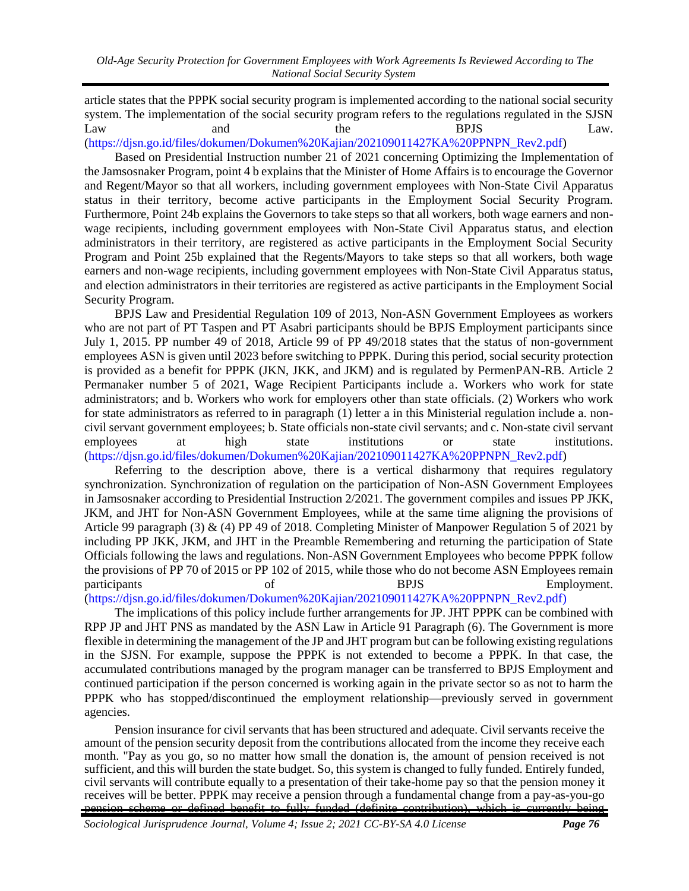article states that the PPPK social security program is implemented according to the national social security system. The implementation of the social security program refers to the regulations regulated in the SJSN Law and the BPJS Law. [\(https://djsn.go.id/files/dokumen/Dokumen%20Kajian/202109011427KA%20PPNPN\\_Rev2.pdf\)](https://djsn.go.id/files/dokumen/Dokumen%20Kajian/202109011427KA%20PPNPN_Rev2.pdf)

Based on Presidential Instruction number 21 of 2021 concerning Optimizing the Implementation of the Jamsosnaker Program, point 4 b explains that the Minister of Home Affairs is to encourage the Governor and Regent/Mayor so that all workers, including government employees with Non-State Civil Apparatus status in their territory, become active participants in the Employment Social Security Program. Furthermore, Point 24b explains the Governors to take steps so that all workers, both wage earners and nonwage recipients, including government employees with Non-State Civil Apparatus status, and election administrators in their territory, are registered as active participants in the Employment Social Security Program and Point 25b explained that the Regents/Mayors to take steps so that all workers, both wage earners and non-wage recipients, including government employees with Non-State Civil Apparatus status, and election administrators in their territories are registered as active participants in the Employment Social Security Program.

BPJS Law and Presidential Regulation 109 of 2013, Non-ASN Government Employees as workers who are not part of PT Taspen and PT Asabri participants should be BPJS Employment participants since July 1, 2015. PP number 49 of 2018, Article 99 of PP 49/2018 states that the status of non-government employees ASN is given until 2023 before switching to PPPK. During this period, social security protection is provided as a benefit for PPPK (JKN, JKK, and JKM) and is regulated by PermenPAN-RB. Article 2 Permanaker number 5 of 2021, Wage Recipient Participants include a. Workers who work for state administrators; and b. Workers who work for employers other than state officials. (2) Workers who work for state administrators as referred to in paragraph (1) letter a in this Ministerial regulation include a. noncivil servant government employees; b. State officials non-state civil servants; and c. Non-state civil servant employees at high state institutions or state institutions. [\(https://djsn.go.id/files/dokumen/Dokumen%20Kajian/202109011427KA%20PPNPN\\_Rev2.pdf\)](https://djsn.go.id/files/dokumen/Dokumen%20Kajian/202109011427KA%20PPNPN_Rev2.pdf)

Referring to the description above, there is a vertical disharmony that requires regulatory synchronization. Synchronization of regulation on the participation of Non-ASN Government Employees in Jamsosnaker according to Presidential Instruction 2/2021. The government compiles and issues PP JKK, JKM, and JHT for Non-ASN Government Employees, while at the same time aligning the provisions of Article 99 paragraph (3) & (4) PP 49 of 2018. Completing Minister of Manpower Regulation 5 of 2021 by including PP JKK, JKM, and JHT in the Preamble Remembering and returning the participation of State Officials following the laws and regulations. Non-ASN Government Employees who become PPPK follow the provisions of PP 70 of 2015 or PP 102 of 2015, while those who do not become ASN Employees remain participants of BPJS Employment.

[\(https://djsn.go.id/files/dokumen/Dokumen%20Kajian/202109011427KA%20PPNPN\\_Rev2.pdf\)](https://djsn.go.id/files/dokumen/Dokumen%20Kajian/202109011427KA%20PPNPN_Rev2.pdf)

The implications of this policy include further arrangements for JP. JHT PPPK can be combined with RPP JP and JHT PNS as mandated by the ASN Law in Article 91 Paragraph (6). The Government is more flexible in determining the management of the JP and JHT program but can be following existing regulations in the SJSN. For example, suppose the PPPK is not extended to become a PPPK. In that case, the accumulated contributions managed by the program manager can be transferred to BPJS Employment and continued participation if the person concerned is working again in the private sector so as not to harm the PPPK who has stopped/discontinued the employment relationship—previously served in government agencies.

Pension insurance for civil servants that has been structured and adequate. Civil servants receive the amount of the pension security deposit from the contributions allocated from the income they receive each month. "Pay as you go, so no matter how small the donation is, the amount of pension received is not sufficient, and this will burden the state budget. So, this system is changed to fully funded. Entirely funded, civil servants will contribute equally to a presentation of their take-home pay so that the pension money it receives will be better. PPPK may receive a pension through a fundamental change from a pay-as-you-go pension scheme or defined benefit to fully funded (definite contribution), which is currently

*Sociological Jurisprudence Journal, Volume 4; Issue 2; 2021 CC-BY-SA 4.0 License Page 76*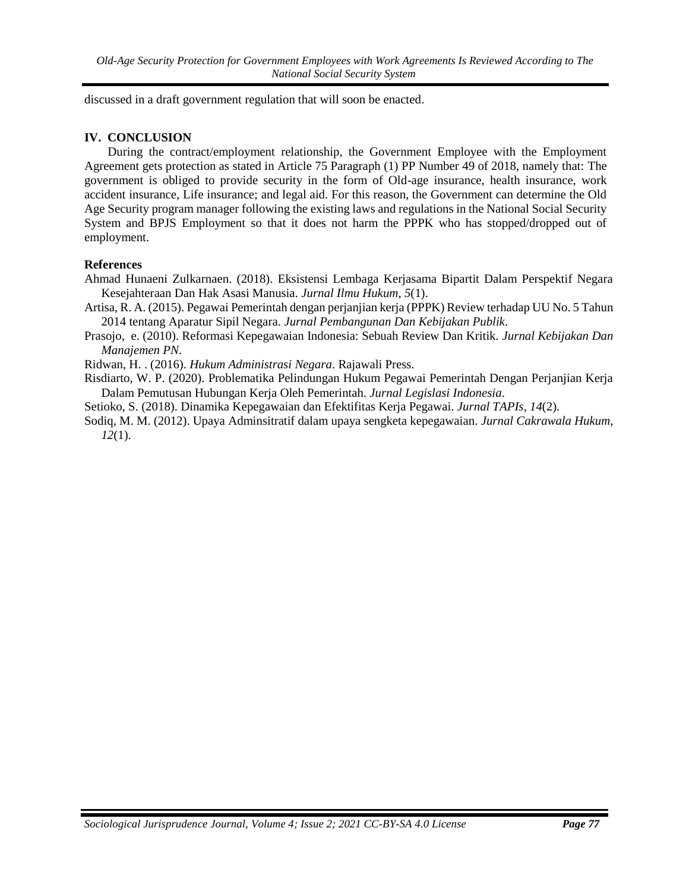discussed in a draft government regulation that will soon be enacted.

## **IV. CONCLUSION**

During the contract/employment relationship, the Government Employee with the Employment Agreement gets protection as stated in Article 75 Paragraph (1) PP Number 49 of 2018, namely that: The government is obliged to provide security in the form of Old-age insurance, health insurance, work accident insurance, Life insurance; and legal aid. For this reason, the Government can determine the Old Age Security program manager following the existing laws and regulations in the National Social Security System and BPJS Employment so that it does not harm the PPPK who has stopped/dropped out of employment.

# **References**

Ahmad Hunaeni Zulkarnaen. (2018). Eksistensi Lembaga Kerjasama Bipartit Dalam Perspektif Negara Kesejahteraan Dan Hak Asasi Manusia. *Jurnal Ilmu Hukum*, *5*(1).

<span id="page-6-0"></span>Artisa, R. A. (2015). Pegawai Pemerintah dengan perjanjian kerja (PPPK) Review terhadap UU No. 5 Tahun 2014 tentang Aparatur Sipil Negara. *Jurnal Pembangunan Dan Kebijakan Publik*.

Prasojo, e. (2010). Reformasi Kepegawaian Indonesia: Sebuah Review Dan Kritik. *Jurnal Kebijakan Dan Manajemen PN*.

Ridwan, H. . (2016). *Hukum Administrasi Negara*. Rajawali Press.

- Risdiarto, W. P. (2020). Problematika Pelindungan Hukum Pegawai Pemerintah Dengan Perjanjian Kerja Dalam Pemutusan Hubungan Kerja Oleh Pemerintah. *Jurnal Legislasi Indonesia*.
- Setioko, S. (2018). Dinamika Kepegawaian dan Efektifitas Kerja Pegawai. *Jurnal TAPIs*, *14*(2).
- Sodiq, M. M. (2012). Upaya Adminsitratif dalam upaya sengketa kepegawaian. *Jurnal Cakrawala Hukum*, *12*(1).